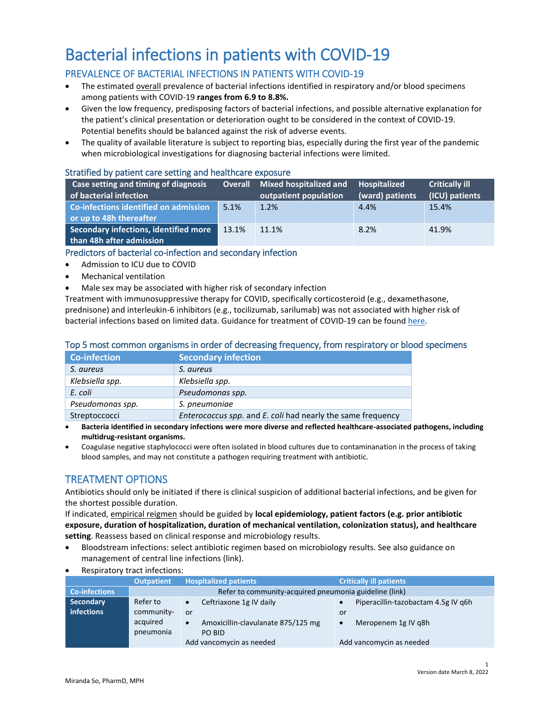# Bacterial infections in patients with COVID-19

## PREVALENCE OF BACTERIAL INFECTIONS IN PATIENTS WITH COVID-19

- The estimated overall prevalence of bacterial infections identified in respiratory and/or blood specimens among patients with COVID-19 **ranges from 6.9 to 8.8%.**
- Given the low frequency, predisposing factors of bacterial infections, and possible alternative explanation for the patient's clinical presentation or deterioration ought to be considered in the context of COVID-19. Potential benefits should be balanced against the risk of adverse events.
- The quality of available literature is subject to reporting bias, especially during the first year of the pandemic when microbiological investigations for diagnosing bacterial infections were limited.

#### Stratified by patient care setting and healthcare exposure

| Case setting and timing of diagnosis<br>of bacterial infection    | <b>Overall</b> | <b>Mixed hospitalized and</b><br>outpatient population | <b>Hospitalized</b><br>(ward) patients | <b>Critically ill</b><br>(ICU) patients |
|-------------------------------------------------------------------|----------------|--------------------------------------------------------|----------------------------------------|-----------------------------------------|
| Co-infections identified on admission<br>or up to 48h thereafter  | 5.1%           | 1.2%                                                   | 4.4%                                   | 15.4%                                   |
| Secondary infections, identified more<br>than 48h after admission | 13.1%          | 11.1%                                                  | 8.2%                                   | 41.9%                                   |

### Predictors of bacterial co-infection and secondary infection

- Admission to ICU due to COVID
- Mechanical ventilation
- Male sex may be associated with higher risk of secondary infection

Treatment with immunosuppressive therapy for COVID, specifically corticosteroid (e.g., dexamethasone, prednisone) and interleukin-6 inhibitors (e.g., tocilizumab, sarilumab) was not associated with higher risk of bacterial infections based on limited data. Guidance for treatment of COVID-19 can be found [here.](https://covid19-sciencetable.ca/)

### Top 5 most common organisms in order of decreasing frequency, from respiratory or blood specimens

| <b>Co-infection</b> | <b>Secondary infection</b>                                  |
|---------------------|-------------------------------------------------------------|
| S. aureus           | S. aureus                                                   |
| Klebsiella spp.     | Klebsiella spp.                                             |
| E. coli             | Pseudomonas spp.                                            |
| Pseudomonas spp.    | S. pneumoniae                                               |
| Streptoccocci       | Enterococcus spp. and E. coli had nearly the same frequency |

 **Bacteria identified in secondary infections were more diverse and reflected healthcare-associated pathogens, including multidrug-resistant organisms.**

 Coagulase negative staphylococci were often isolated in blood cultures due to contaminanation in the process of taking blood samples, and may not constitute a pathogen requiring treatment with antibiotic.

## TREATMENT OPTIONS

Antibiotics should only be initiated if there is clinical suspicion of additional bacterial infections, and be given for the shortest possible duration.

If indicated, empirical reigmen should be guided by **local epidemiology, patient factors (e.g. prior antibiotic exposure, duration of hospitalization, duration of mechanical ventilation, colonization status), and healthcare setting**. Reassess based on clinical response and microbiology results.

- Bloodstream infections: select antibiotic regimen based on microbiology results. See also guidance on management of central line infections (link).
- Respiratory tract infections:

|                      | <b>Outpatient</b>                                      | <b>Hospitalized patients</b>                    | <b>Critically ill patients</b>      |  |  |
|----------------------|--------------------------------------------------------|-------------------------------------------------|-------------------------------------|--|--|
| <b>Co-infections</b> | Refer to community-acquired pneumonia guideline (link) |                                                 |                                     |  |  |
| Secondary            | Refer to                                               | Ceftriaxone 1g IV daily<br>$\bullet$            | Piperacillin-tazobactam 4.5g IV g6h |  |  |
| infections           | community-                                             | or                                              | or                                  |  |  |
|                      | acquired                                               | Amoxicillin-clavulanate 875/125 mg<br>$\bullet$ | Meropenem 1g IV g8h<br>$\bullet$    |  |  |
|                      | pneumonia                                              | PO BID                                          |                                     |  |  |
|                      |                                                        | Add vancomycin as needed                        | Add vancomycin as needed            |  |  |